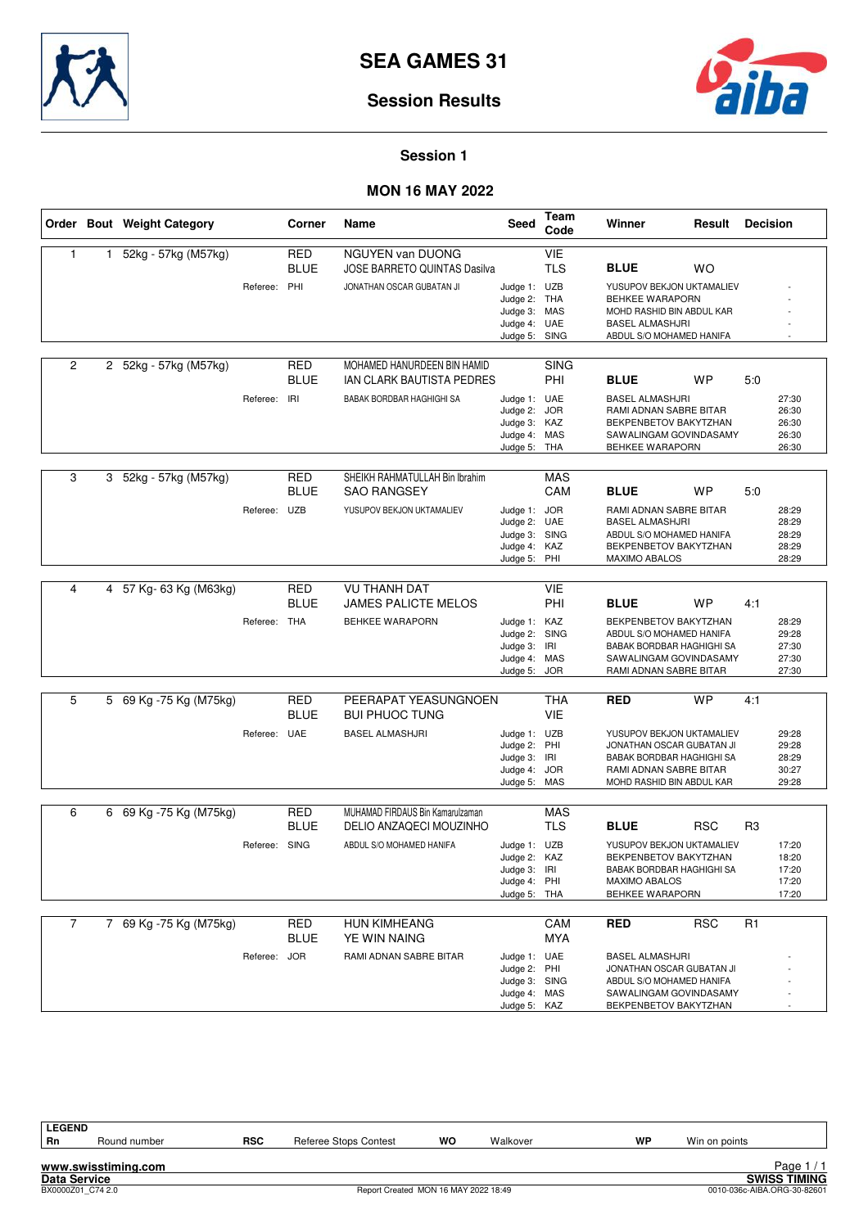



### **Session 1**

## **MON 16 MAY 2022**

|                |   | Order Bout Weight Category |               | Corner                    | Name                                                                                    | Seed                                                                          | Team<br>Code                           | Winner                                                                                                                                                   | Result     | <b>Decision</b>                                             |
|----------------|---|----------------------------|---------------|---------------------------|-----------------------------------------------------------------------------------------|-------------------------------------------------------------------------------|----------------------------------------|----------------------------------------------------------------------------------------------------------------------------------------------------------|------------|-------------------------------------------------------------|
| $\mathbf{1}$   | 1 | 52kg - 57kg (M57kg)        | Referee: PHI  | <b>RED</b><br><b>BLUE</b> | <b>NGUYEN van DUONG</b><br>JOSE BARRETO QUINTAS Dasilva<br>JONATHAN OSCAR GUBATAN JI    | Judge 1: UZB<br>Judge 2:<br>Judge 3: MAS<br>Judge 4: UAE<br>Judge 5: SING     | <b>VIE</b><br><b>TLS</b><br>THA        | <b>BLUE</b><br>YUSUPOV BEKJON UKTAMALIEV<br>BEHKEE WARAPORN<br>MOHD RASHID BIN ABDUL KAR<br><b>BASEL ALMASHJRI</b><br>ABDUL S/O MOHAMED HANIFA           | <b>WO</b>  |                                                             |
| 2              |   | 2 52kg - 57kg (M57kg)      | Referee: IRI  | <b>RED</b><br><b>BLUE</b> | MOHAMED HANURDEEN BIN HAMID<br>IAN CLARK BAUTISTA PEDRES<br>BABAK BORDBAR HAGHIGHI SA   | Judge 1: UAE<br>Judge 2:<br>Judge 3: KAZ<br>Judge 4: MAS<br>Judge 5: THA      | <b>SING</b><br>PHI<br><b>JOR</b>       | <b>BLUE</b><br><b>BASEL ALMASHJRI</b><br>RAMI ADNAN SABRE BITAR<br>BEKPENBETOV BAKYTZHAN<br>SAWALINGAM GOVINDASAMY<br>BEHKEE WARAPORN                    | WP         | 5:0<br>27:30<br>26:30<br>26:30<br>26:30<br>26:30            |
| 3              |   | 3 52kg - 57kg (M57kg)      | Referee: UZB  | <b>RED</b><br><b>BLUE</b> | SHEIKH RAHMATULLAH Bin Ibrahim<br><b>SAO RANGSEY</b><br>YUSUPOV BEKJON UKTAMALIEV       | Judge 1:<br>Judge 2: UAE<br>Judge 3: SING<br>Judge 4: KAZ<br>Judge 5:         | <b>MAS</b><br>CAM<br><b>JOR</b><br>PHI | <b>BLUE</b><br>RAMI ADNAN SABRE BITAR<br><b>BASEL ALMASHJRI</b><br>ABDUL S/O MOHAMED HANIFA<br>BEKPENBETOV BAKYTZHAN<br><b>MAXIMO ABALOS</b>             | WP         | 5:0<br>28:29<br>28:29<br>28:29<br>28:29<br>28:29            |
| 4              |   | 4 57 Kg- 63 Kg (M63kg)     | Referee: THA  | <b>RED</b><br><b>BLUE</b> | <b>VU THANH DAT</b><br><b>JAMES PALICTE MELOS</b><br><b>BEHKEE WARAPORN</b>             | Judge 1: KAZ<br>Judge 2: SING<br>Judge 3: IRI<br>Judge 4: MAS<br>Judge 5: JOR | <b>VIE</b><br>PHI                      | <b>BLUE</b><br>BEKPENBETOV BAKYTZHAN<br>ABDUL S/O MOHAMED HANIFA<br>BABAK BORDBAR HAGHIGHI SA<br>SAWALINGAM GOVINDASAMY<br>RAMI ADNAN SABRE BITAR        | <b>WP</b>  | 4:1<br>28:29<br>29:28<br>27:30<br>27:30<br>27:30            |
| 5              |   | 5 69 Kg -75 Kg (M75kg)     | Referee: UAE  | <b>RED</b><br><b>BLUE</b> | PEERAPAT YEASUNGNOEN<br><b>BUI PHUOC TUNG</b><br><b>BASEL ALMASHJRI</b>                 | Judge 1: UZB<br>Judge 2: PHI<br>Judge 3: IRI<br>Judge 4: JOR<br>Judge 5: MAS  | <b>THA</b><br><b>VIE</b>               | <b>RED</b><br>YUSUPOV BEKJON UKTAMALIEV<br>JONATHAN OSCAR GUBATAN JI<br>BABAK BORDBAR HAGHIGHI SA<br>RAMI ADNAN SABRE BITAR<br>MOHD RASHID BIN ABDUL KAR | <b>WP</b>  | 4:1<br>29:28<br>29:28<br>28:29<br>30:27<br>29:28            |
| 6              |   | 6 69 Kg -75 Kg (M75kg)     | Referee: SING | <b>RED</b><br><b>BLUE</b> | MUHAMAD FIRDAUS Bin Kamarulzaman<br>DELIO ANZAQECI MOUZINHO<br>ABDUL S/O MOHAMED HANIFA | Judge 1: UZB<br>Judge 2: KAZ<br>Judge 3: IRI<br>Judge 4: PHI<br>Judge 5: THA  | <b>MAS</b><br><b>TLS</b>               | <b>BLUE</b><br>YUSUPOV BEKJON UKTAMALIEV<br>BEKPENBETOV BAKYTZHAN<br>BABAK BORDBAR HAGHIGHI SA<br><b>MAXIMO ABALOS</b><br><b>BEHKEE WARAPORN</b>         | <b>RSC</b> | R <sub>3</sub><br>17:20<br>18:20<br>17:20<br>17:20<br>17:20 |
| $\overline{7}$ |   | 7 69 Kg - 75 Kg (M75kg)    | Referee: JOR  | <b>RED</b><br><b>BLUE</b> | <b>HUN KIMHEANG</b><br>YE WIN NAING<br>RAMI ADNAN SABRE BITAR                           | Judge 1: UAE<br>Judge 2: PHI<br>Judge 3: SING<br>Judge 4: MAS<br>Judge 5: KAZ | CAM<br>MYA                             | <b>RED</b><br><b>BASEL ALMASHJRI</b><br>JONATHAN OSCAR GUBATAN JI<br>ABDUL S/O MOHAMED HANIFA<br>SAWALINGAM GOVINDASAMY<br>BEKPENBETOV BAKYTZHAN         | <b>RSC</b> | R <sub>1</sub>                                              |

**LEGEND**

**www.swisstiming.com**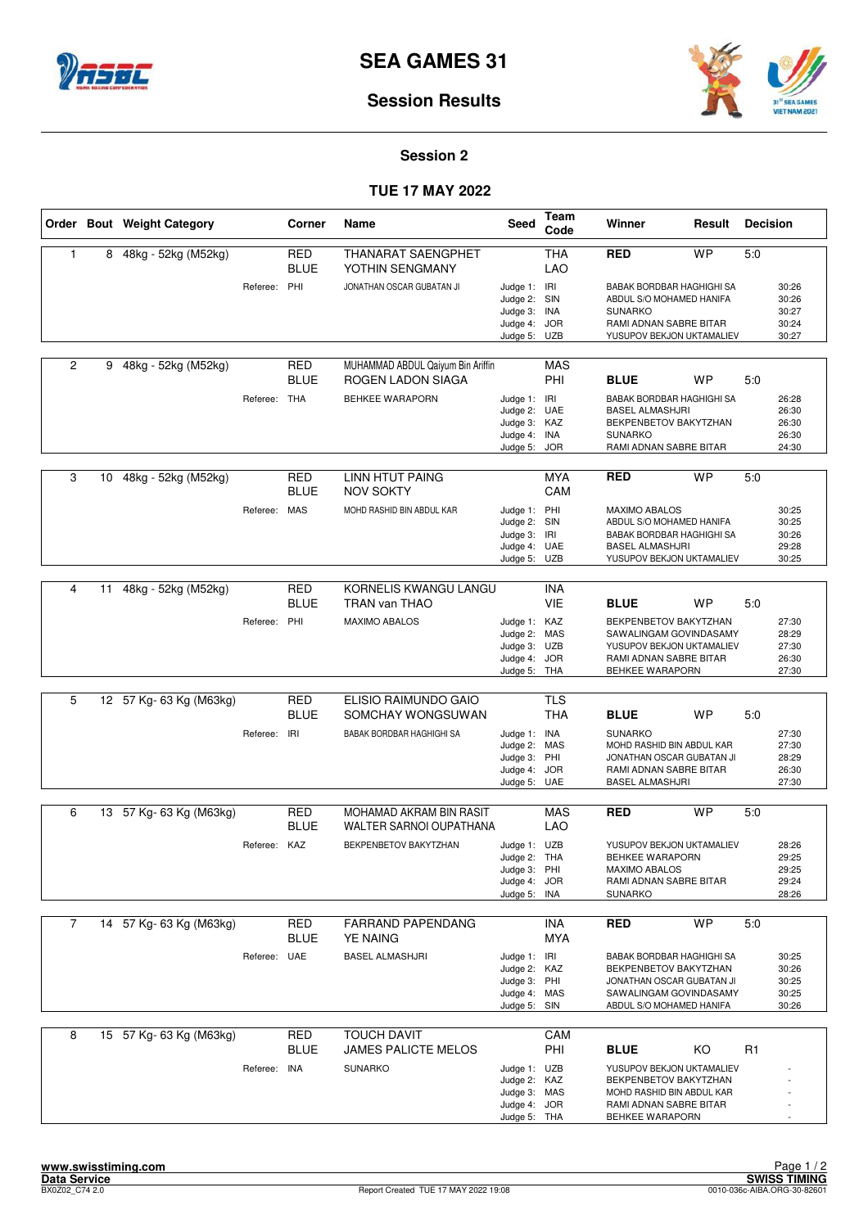



### **Session 2**

## **TUE 17 MAY 2022**

|                |    | Order Bout Weight Category |              | Corner                    | Name                                                    | <b>Seed</b>                                                                  | Team<br>Code             | Winner                                                                                                                                   | Result    | <b>Decision</b> |                                           |
|----------------|----|----------------------------|--------------|---------------------------|---------------------------------------------------------|------------------------------------------------------------------------------|--------------------------|------------------------------------------------------------------------------------------------------------------------------------------|-----------|-----------------|-------------------------------------------|
| $\mathbf{1}$   | 8  | 48kg - 52kg (M52kg)        |              | <b>RED</b><br><b>BLUE</b> | THANARAT SAENGPHET<br>YOTHIN SENGMANY                   |                                                                              | <b>THA</b><br><b>LAO</b> | <b>RED</b>                                                                                                                               | <b>WP</b> | 5:0             |                                           |
|                |    |                            | Referee: PHI |                           | JONATHAN OSCAR GUBATAN JI                               | Judge 1: IRI<br>Judge 2: SIN<br>Judge 3: INA<br>Judge 4: JOR<br>Judge 5: UZB |                          | BABAK BORDBAR HAGHIGHI SA<br>ABDUL S/O MOHAMED HANIFA<br><b>SUNARKO</b><br>RAMI ADNAN SABRE BITAR<br>YUSUPOV BEKJON UKTAMALIEV           |           |                 | 30:26<br>30:26<br>30:27<br>30:24<br>30:27 |
| $\overline{2}$ | 9  | 48kg - 52kg (M52kg)        |              | RED<br><b>BLUE</b>        | MUHAMMAD ABDUL Qaiyum Bin Ariffin<br>ROGEN LADON SIAGA  |                                                                              | <b>MAS</b><br><b>PHI</b> | <b>BLUE</b>                                                                                                                              | <b>WP</b> | 5:0             |                                           |
|                |    |                            | Referee: THA |                           | <b>BEHKEE WARAPORN</b>                                  | Judge 1: IRI<br>Judge 2: UAE<br>Judge 3: KAZ<br>Judge 4:<br>Judge 5:         | INA<br><b>JOR</b>        | <b>BABAK BORDBAR HAGHIGHI SA</b><br>BASEL ALMASHJRI<br>BEKPENBETOV BAKYTZHAN<br><b>SUNARKO</b><br>RAMI ADNAN SABRE BITAR                 |           |                 | 26:28<br>26:30<br>26:30<br>26:30<br>24:30 |
| 3              | 10 | 48kg - 52kg (M52kg)        |              | <b>RED</b><br>BLUE        | <b>LINN HTUT PAING</b><br><b>NOV SOKTY</b>              |                                                                              | <b>MYA</b><br>CAM        | <b>RED</b>                                                                                                                               | <b>WP</b> | 5:0             |                                           |
|                |    |                            | Referee: MAS |                           | MOHD RASHID BIN ABDUL KAR                               | Judge 1: PHI<br>Judge 2: SIN<br>Judge 3:<br>Judge 4: UAE<br>Judge 5: UZB     | IRI                      | <b>MAXIMO ABALOS</b><br>ABDUL S/O MOHAMED HANIFA<br>BABAK BORDBAR HAGHIGHI SA<br><b>BASEL ALMASHJRI</b><br>YUSUPOV BEKJON UKTAMALIEV     |           |                 | 30:25<br>30:25<br>30:26<br>29:28<br>30:25 |
| 4              | 11 | 48kg - 52kg (M52kg)        |              | <b>RED</b>                | KORNELIS KWANGU LANGU                                   |                                                                              | INA                      |                                                                                                                                          |           |                 |                                           |
|                |    |                            | Referee: PHI | <b>BLUE</b>               | TRAN van THAO<br>MAXIMO ABALOS                          | Judge 1: KAZ<br>Judge 2: MAS<br>Judge 3: UZB<br>Judge 4: JOR<br>Judge 5:     | <b>VIE</b><br>THA        | <b>BLUE</b><br>BEKPENBETOV BAKYTZHAN<br>SAWALINGAM GOVINDASAMY<br>YUSUPOV BEKJON UKTAMALIEV<br>RAMI ADNAN SABRE BITAR<br>BEHKEE WARAPORN | <b>WP</b> | 5:0             | 27:30<br>28:29<br>27:30<br>26:30<br>27:30 |
|                |    |                            |              |                           |                                                         |                                                                              |                          |                                                                                                                                          |           |                 |                                           |
| 5              |    | 12 57 Kg- 63 Kg (M63kg)    |              | <b>RED</b><br>BLUE        | ELISIO RAIMUNDO GAIO<br>SOMCHAY WONGSUWAN               |                                                                              | <b>TLS</b><br><b>THA</b> | <b>BLUE</b>                                                                                                                              | <b>WP</b> | 5:0             |                                           |
|                |    |                            | Referee:     | IRI                       | BABAK BORDBAR HAGHIGHI SA                               | Judge 1: INA<br>Judge 2: MAS<br>Judge 3: PHI<br>Judge 4:<br>Judge 5: UAE     | <b>JOR</b>               | <b>SUNARKO</b><br>MOHD RASHID BIN ABDUL KAR<br>JONATHAN OSCAR GUBATAN JI<br>RAMI ADNAN SABRE BITAR<br>BASEL ALMASHJRI                    |           |                 | 27:30<br>27:30<br>28:29<br>26:30<br>27:30 |
| 6              |    | 13 57 Kg- 63 Kg (M63kg)    |              | <b>RED</b>                | MOHAMAD AKRAM BIN RASIT                                 |                                                                              | <b>MAS</b>               | <b>RED</b>                                                                                                                               | <b>WP</b> | 5:0             |                                           |
|                |    |                            | Referee: KAZ | BLUE                      | <b>WALTER SARNOI OUPATHANA</b><br>BEKPENBETOV BAKYTZHAN | Judge 1: UZB<br>Judge 2: THA<br>Judge 3: PHI<br>Judge 4:<br>Judge 5:         | LAO<br><b>JOR</b><br>INA | YUSUPOV BEKJON UKTAMALIEV<br>BEHKEE WARAPORN<br><b>MAXIMO ABALOS</b><br>RAMI ADNAN SABRE BITAR<br><b>SUNARKO</b>                         |           |                 | 28:26<br>29:25<br>29:25<br>29:24<br>28:26 |
| $\overline{7}$ |    | 14 57 Kg- 63 Kg (M63kg)    |              | <b>RED</b>                | <b>FARRAND PAPENDANG</b>                                |                                                                              | <b>INA</b>               | <b>RED</b>                                                                                                                               | <b>WP</b> | 5.0             |                                           |
|                |    |                            | Referee: UAE | BLUE                      | <b>YE NAING</b><br><b>BASEL ALMASHJRI</b>               | Judge 1: IRI                                                                 | MYA                      | <b>BABAK BORDBAR HAGHIGHI SA</b>                                                                                                         |           |                 | 30:25                                     |
|                |    |                            |              |                           |                                                         | Judge 2: KAZ<br>Judge 3: PHI<br>Judge 4: MAS<br>Judge 5: SIN                 |                          | BEKPENBETOV BAKYTZHAN<br>JONATHAN OSCAR GUBATAN JI<br>SAWALINGAM GOVINDASAMY<br>ABDUL S/O MOHAMED HANIFA                                 |           |                 | 30:26<br>30:25<br>30:25<br>30:26          |
| 8              |    | 15 57 Kg- 63 Kg (M63kg)    |              | RED<br><b>BLUE</b>        | <b>TOUCH DAVIT</b><br>JAMES PALICTE MELOS               |                                                                              | CAM<br>PHI               | <b>BLUE</b>                                                                                                                              | KO        | R1              |                                           |
|                |    |                            | Referee: INA |                           | <b>SUNARKO</b>                                          | Judge 1: UZB<br>Judge 2: KAZ<br>Judge 3: MAS<br>Judge 4: JOR<br>Judge 5: THA |                          | YUSUPOV BEKJON UKTAMALIEV<br>BEKPENBETOV BAKYTZHAN<br>MOHD RASHID BIN ABDUL KAR<br>RAMI ADNAN SABRE BITAR<br>BEHKEE WARAPORN             |           |                 |                                           |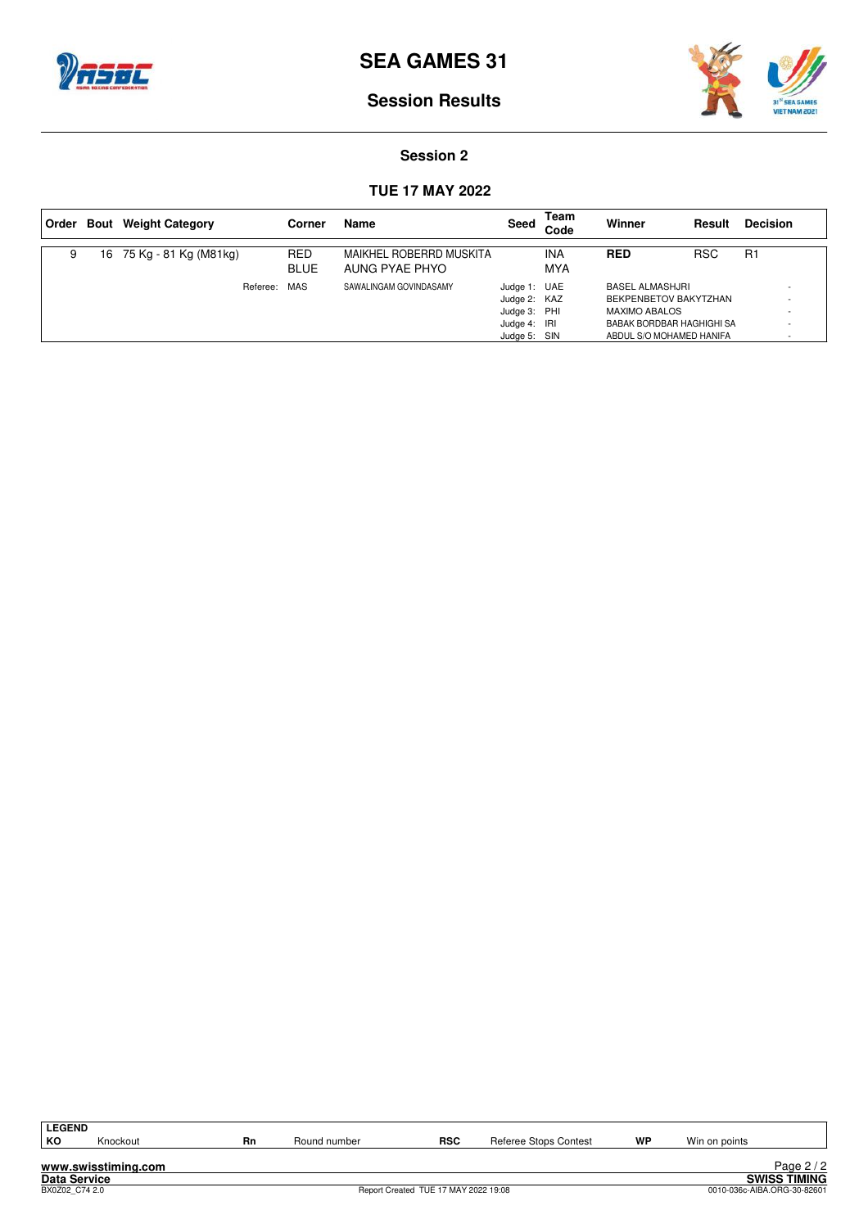



### **Session 2**

## **TUE 17 MAY 2022**

| Order | <b>Bout</b> Weight Category |              | Corner                    | Name                                      | Seed                                                                         | Team<br>Code      | Winner                                                                                                                           | Result     | <b>Decision</b> |
|-------|-----------------------------|--------------|---------------------------|-------------------------------------------|------------------------------------------------------------------------------|-------------------|----------------------------------------------------------------------------------------------------------------------------------|------------|-----------------|
| 9     | 16 75 Kg - 81 Kg (M81kg)    |              | <b>RED</b><br><b>BLUE</b> | MAIKHEL ROBERRD MUSKITA<br>AUNG PYAE PHYO |                                                                              | <b>INA</b><br>MYA | <b>RED</b>                                                                                                                       | <b>RSC</b> | R1              |
|       |                             | Referee: MAS |                           | SAWALINGAM GOVINDASAMY                    | Judge 1: UAE<br>Judge 2: KAZ<br>Judge 3: PHI<br>Judge 4: IRI<br>Judge 5: SIN |                   | <b>BASEL ALMASHJRI</b><br>BEKPENBETOV BAKYTZHAN<br><b>MAXIMO ABALOS</b><br>BABAK BORDBAR HAGHIGHI SA<br>ABDUL S/O MOHAMED HANIFA |            |                 |

| <b>LEGEND</b>  |                     |    |              |                                      |                       |    |               |                             |
|----------------|---------------------|----|--------------|--------------------------------------|-----------------------|----|---------------|-----------------------------|
| КO             | Knockout            | Rn | Round number | <b>RSC</b>                           | Referee Stops Contest | WP | Win on points |                             |
|                |                     |    |              |                                      |                       |    |               |                             |
|                | www.swisstiming.com |    |              |                                      |                       |    |               | Page $2/2$                  |
| Data Service   |                     |    |              |                                      |                       |    |               | <b>SWISS TIMING</b>         |
| BX0Z02 C74 2.0 |                     |    |              | Report Created TUE 17 MAY 2022 19:08 |                       |    |               | 0010-036c-AIBA.ORG-30-82601 |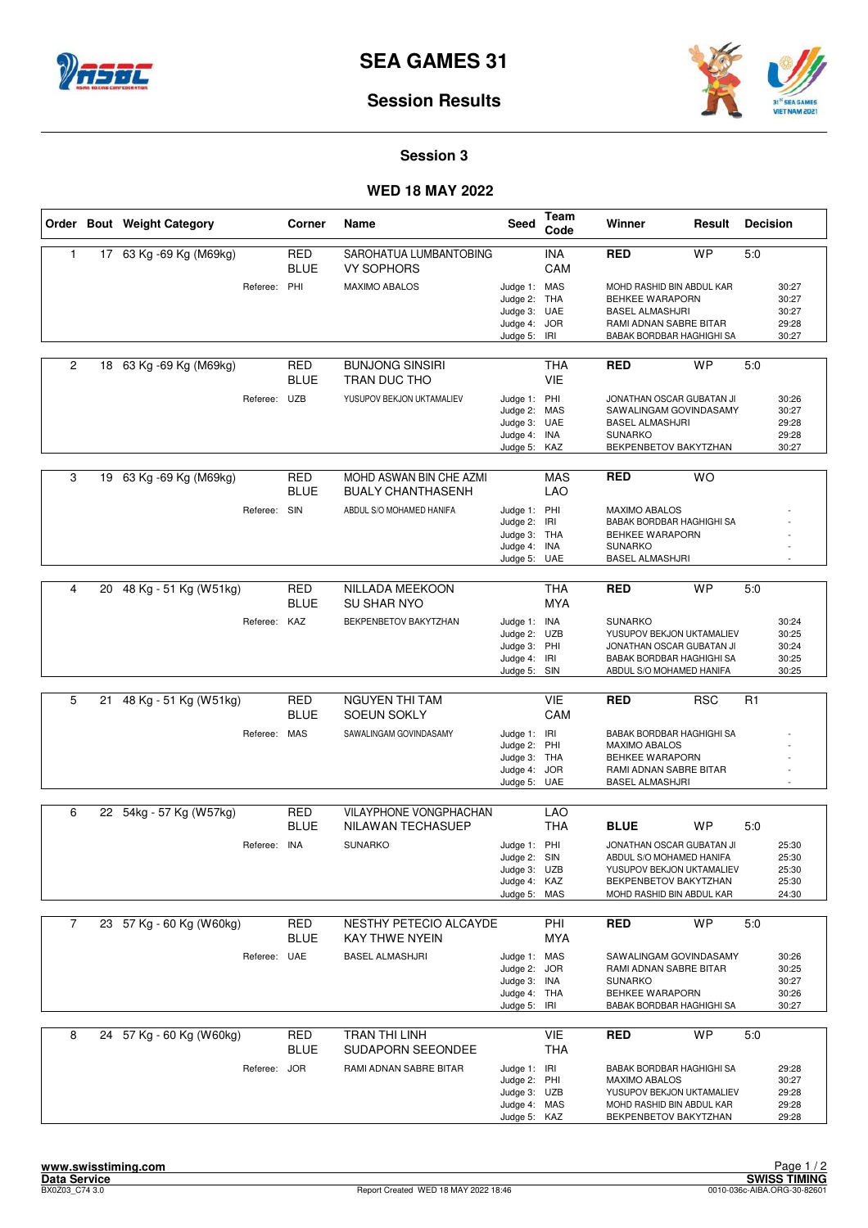



### **Session 3**

## **WED 18 MAY 2022**

|              |    | Order Bout Weight Category |              | Corner                    | Name                                                | Seed                                                                         | Team<br>Code             | Winner                                                                                                                                   | Result     | <b>Decision</b> |                                           |
|--------------|----|----------------------------|--------------|---------------------------|-----------------------------------------------------|------------------------------------------------------------------------------|--------------------------|------------------------------------------------------------------------------------------------------------------------------------------|------------|-----------------|-------------------------------------------|
| $\mathbf{1}$ |    | 17 63 Kg -69 Kg (M69kg)    |              | <b>RED</b><br><b>BLUE</b> | SAROHATUA LUMBANTOBING<br><b>VY SOPHORS</b>         |                                                                              | <b>INA</b><br>CAM        | <b>RED</b>                                                                                                                               | <b>WP</b>  | 5.0             |                                           |
|              |    |                            | Referee: PHI |                           | <b>MAXIMO ABALOS</b>                                | Judge 1: MAS<br>Judge 2: THA<br>Judge 3: UAE<br>Judge 4: JOR<br>Judge 5:     | IRI                      | MOHD RASHID BIN ABDUL KAR<br><b>BEHKEE WARAPORN</b><br><b>BASEL ALMASHJRI</b><br>RAMI ADNAN SABRE BITAR<br>BABAK BORDBAR HAGHIGHI SA     |            |                 | 30:27<br>30:27<br>30:27<br>29:28<br>30:27 |
| 2            |    | 18 63 Kg -69 Kg (M69kg)    |              | <b>RED</b><br><b>BLUE</b> | <b>BUNJONG SINSIRI</b><br>TRAN DUC THO              |                                                                              | <b>THA</b><br><b>VIE</b> | <b>RED</b>                                                                                                                               | <b>WP</b>  | 5:0             |                                           |
|              |    |                            | Referee: UZB |                           | YUSUPOV BEKJON UKTAMALIEV                           | Judge 1: PHI<br>Judge 2: MAS<br>Judge 3: UAE<br>Judge 4: INA<br>Judge 5: KAZ |                          | JONATHAN OSCAR GUBATAN JI<br>SAWALINGAM GOVINDASAMY<br><b>BASEL ALMASHJRI</b><br><b>SUNARKO</b><br>BEKPENBETOV BAKYTZHAN                 |            |                 | 30:26<br>30:27<br>29:28<br>29:28<br>30:27 |
| 3            |    | 19 63 Kg -69 Kg (M69kg)    |              | <b>RED</b><br><b>BLUE</b> | MOHD ASWAN BIN CHE AZMI<br><b>BUALY CHANTHASENH</b> |                                                                              | <b>MAS</b><br>LAO        | <b>RED</b>                                                                                                                               | <b>WO</b>  |                 |                                           |
|              |    |                            | Referee: SIN |                           | ABDUL S/O MOHAMED HANIFA                            | Judge 1: PHI<br>Judge 2: IRI<br>Judge 3: THA<br>Judge 4: INA<br>Judge 5: UAE |                          | <b>MAXIMO ABALOS</b><br>BABAK BORDBAR HAGHIGHI SA<br>BEHKEE WARAPORN<br><b>SUNARKO</b><br><b>BASEL ALMASHJRI</b>                         |            |                 |                                           |
| 4            | 20 | 48 Kg - 51 Kg (W51kg)      |              | <b>RED</b>                | NILLADA MEEKOON                                     |                                                                              | <b>THA</b>               | RED                                                                                                                                      | <b>WP</b>  | 5:0             |                                           |
|              |    |                            |              | <b>BLUE</b>               | <b>SU SHAR NYO</b>                                  |                                                                              | <b>MYA</b>               |                                                                                                                                          |            |                 |                                           |
|              |    |                            | Referee: KAZ |                           | BEKPENBETOV BAKYTZHAN                               | Judge 1: INA<br>Judge 2: UZB<br>Judge 3: PHI<br>Judge 4: IRI<br>Judge 5: SIN |                          | <b>SUNARKO</b><br>YUSUPOV BEKJON UKTAMALIEV<br>JONATHAN OSCAR GUBATAN JI<br>BABAK BORDBAR HAGHIGHI SA<br>ABDUL S/O MOHAMED HANIFA        |            |                 | 30:24<br>30:25<br>30:24<br>30:25<br>30:25 |
|              |    |                            |              |                           |                                                     |                                                                              |                          |                                                                                                                                          |            |                 |                                           |
| 5            | 21 | 48 Kg - 51 Kg (W51kg)      |              | RED<br><b>BLUE</b>        | <b>NGUYEN THI TAM</b><br><b>SOEUN SOKLY</b>         |                                                                              | <b>VIE</b><br>CAM        | RED                                                                                                                                      | <b>RSC</b> | R1              |                                           |
|              |    |                            | Referee: MAS |                           | SAWALINGAM GOVINDASAMY                              | Judge 1: IRI<br>Judge 2: PHI<br>Judge 3: THA<br>Judge 4: JOR<br>Judge 5: UAE |                          | BABAK BORDBAR HAGHIGHI SA<br><b>MAXIMO ABALOS</b><br>BEHKEE WARAPORN<br>RAMI ADNAN SABRE BITAR<br><b>BASEL ALMASHJRI</b>                 |            |                 |                                           |
| 6            |    | 22 54kg - 57 Kg (W57kg)    |              | <b>RED</b>                | VILAYPHONE VONGPHACHAN                              |                                                                              | <b>LAO</b>               |                                                                                                                                          |            |                 |                                           |
|              |    |                            |              | <b>BLUE</b>               | <b>NILAWAN TECHASUEP</b>                            |                                                                              | THA                      | <b>BLUE</b>                                                                                                                              | WP         | 5:0             |                                           |
|              |    |                            | Referee:     | INA                       | <b>SUNARKO</b>                                      | Judge 1: PHI<br>Judge 2: SIN<br>Judge 3: UZB<br>Judge 4: KAZ<br>Judge 5: MAS |                          | JONATHAN OSCAR GUBATAN JI<br>ABDUL S/O MOHAMED HANIFA<br>YUSUPOV BEKJON UKTAMALIEV<br>BEKPENBETOV BAKYTZHAN<br>MOHD RASHID BIN ABDUL KAR |            |                 | 25:30<br>25:30<br>25:30<br>25:30<br>24:30 |
| 7            |    | 23 57 Kg - 60 Kg (W60kg)   |              | <b>RED</b><br><b>BLUE</b> | NESTHY PETECIO ALCAYDE<br><b>KAY THWE NYEIN</b>     |                                                                              | PHI<br>MYA               | <b>RED</b>                                                                                                                               | <b>WP</b>  | 5:0             |                                           |
|              |    |                            | Referee: UAE |                           | <b>BASEL ALMASHJRI</b>                              | Judge 1: MAS<br>Judge 2: JOR<br>Judge 3: INA<br>Judge 4: THA<br>Judge 5:     | IRI                      | SAWALINGAM GOVINDASAMY<br>RAMI ADNAN SABRE BITAR<br><b>SUNARKO</b><br>BEHKEE WARAPORN<br>BABAK BORDBAR HAGHIGHI SA                       |            |                 | 30:26<br>30:25<br>30:27<br>30:26<br>30:27 |
| 8            |    | 24 57 Kg - 60 Kg (W60kg)   |              | RED<br><b>BLUE</b>        | TRAN THI LINH<br>SUDAPORN SEEONDEE                  |                                                                              | VIE<br><b>THA</b>        | <b>RED</b>                                                                                                                               | WP         | 5:0             |                                           |
|              |    |                            | Referee: JOR |                           | RAMI ADNAN SABRE BITAR                              | Judge 1: IRI<br>Judge 2: PHI<br>Judge 3: UZB<br>Judge 4: MAS<br>Judge 5: KAZ |                          | BABAK BORDBAR HAGHIGHI SA<br>MAXIMO ABALOS<br>YUSUPOV BEKJON UKTAMALIEV<br>MOHD RASHID BIN ABDUL KAR<br>BEKPENBETOV BAKYTZHAN            |            |                 | 29:28<br>30:27<br>29:28<br>29:28<br>29:28 |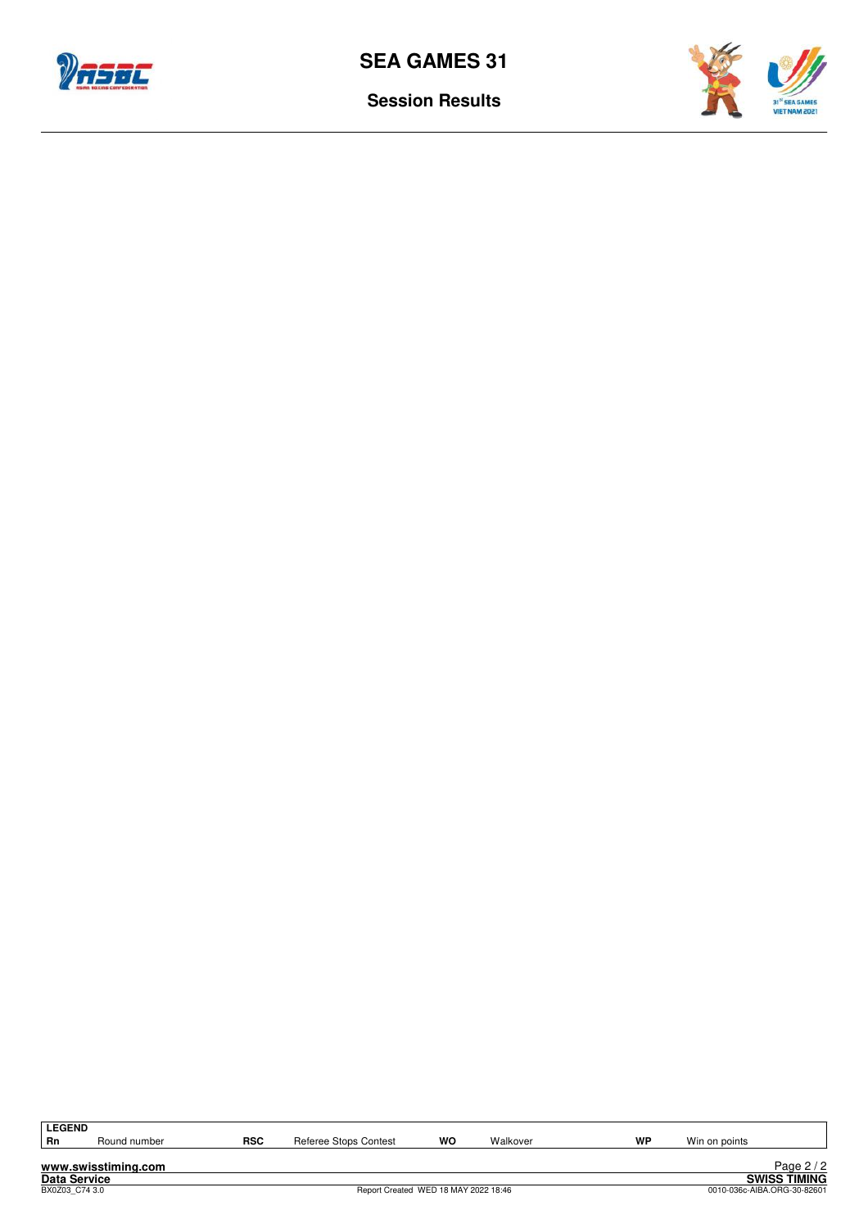



| <b>LEGEND</b>       |                     |            |                                      |    |          |    |               |                             |
|---------------------|---------------------|------------|--------------------------------------|----|----------|----|---------------|-----------------------------|
| Rn                  | Round number        | <b>RSC</b> | Referee Stops Contest                | WO | Walkover | WP | Win on points |                             |
|                     |                     |            |                                      |    |          |    |               |                             |
|                     | www.swisstiming.com |            |                                      |    |          |    |               | Page $2/2$                  |
| <b>Data Service</b> |                     |            |                                      |    |          |    |               | <b>SWISS TIMING</b>         |
| BX0Z03 C74 3.0      |                     |            | Report Created WED 18 MAY 2022 18:46 |    |          |    |               | 0010-036c-AIBA.ORG-30-82601 |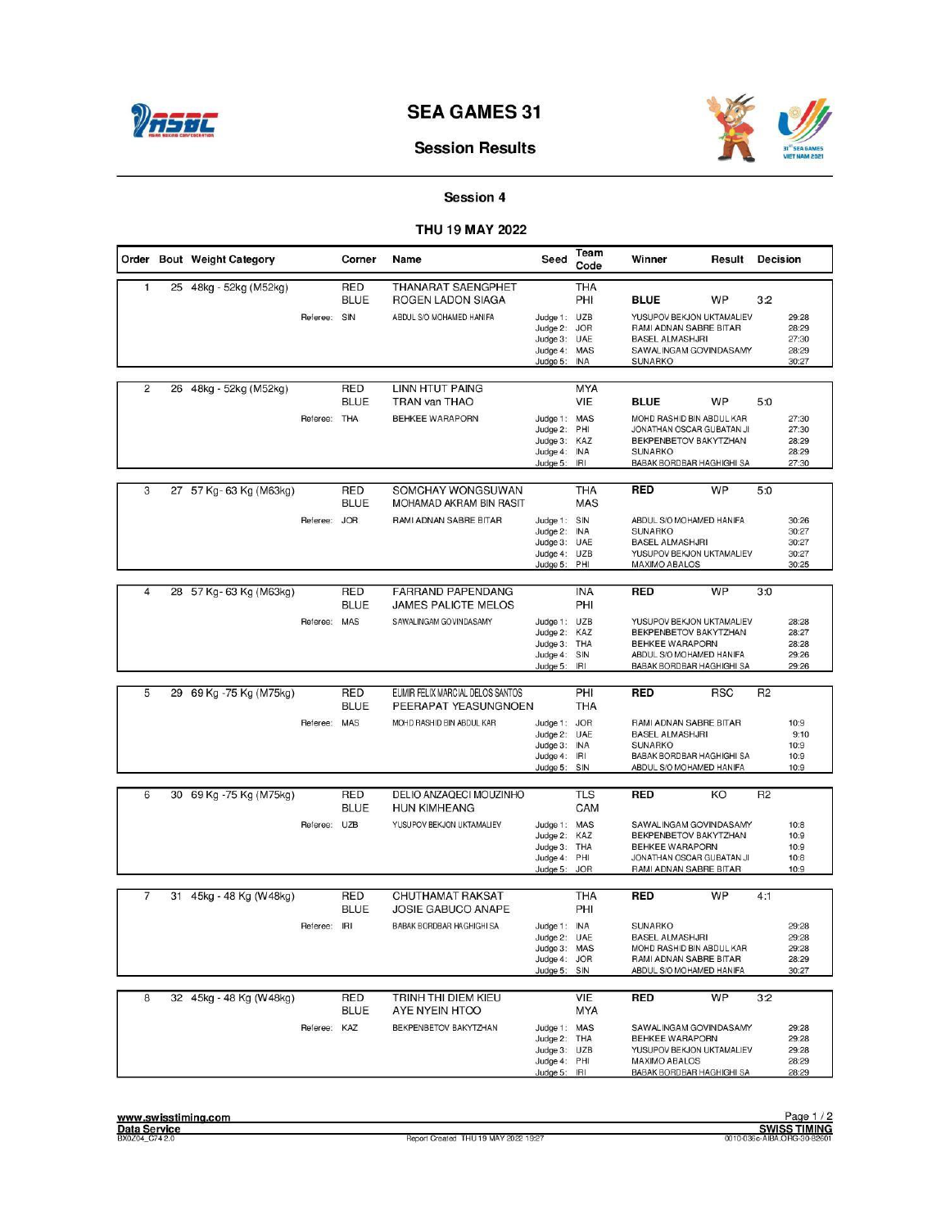

## **Session Results**

## Session 4

### THU 19 MAY 2022

|                |    | Order Bout Weight Category |              | Corner                    | Name                                                 | Seed                                                                         | Team<br>Code             | Winner                                                                                                                                | Result     | <b>Decision</b> |                                           |
|----------------|----|----------------------------|--------------|---------------------------|------------------------------------------------------|------------------------------------------------------------------------------|--------------------------|---------------------------------------------------------------------------------------------------------------------------------------|------------|-----------------|-------------------------------------------|
| $\mathbf{1}$   |    | 25 48kg - 52kg (M52kg)     |              | <b>RED</b><br><b>BLUE</b> | THANARAT SAENGPHET<br>ROGEN LADON SIAGA              |                                                                              | <b>THA</b><br>PHI        | <b>BLUE</b>                                                                                                                           | WP         | 3:2             |                                           |
|                |    |                            | Referee: SIN |                           | ABDUL S/O MOHAMED HANIFA                             | Judge 1: UZB<br>Judge 2: JOR<br>Judge 3: UAE<br>Judge 4: MAS<br>Judge 5:     | <b>INA</b>               | YUSUPOV BEKJON UKTAMALIEV<br>RAMI ADNAN SABRE BITAR<br><b>BASEL ALMASHJRI</b><br>SAWALINGAM GOVINDASAMY<br><b>SUNARKO</b>             |            |                 | 29:28<br>28:29<br>27:30<br>28:29<br>30:27 |
| $\overline{2}$ | 26 | 48kg - 52kg (M52kg)        |              | RED<br><b>BLUE</b>        | <b>LINN HTUT PAING</b><br><b>TRAN van THAO</b>       |                                                                              | <b>MYA</b><br>VIE.       | <b>BLUE</b>                                                                                                                           | WP         | 5:0             |                                           |
|                |    |                            | Referee: THA |                           | <b>BEHKEE WARAPORN</b>                               | Judge 1: MAS<br>Judge 2: PHI<br>Judge 3:<br>Judge 4:<br>Judge 5:             | KAZ<br><b>INA</b><br>IRI | MOHD RASHID BIN ABDUL KAR<br>JONATHAN OSCAR GUBATAN JI<br>BEKPENBETOV BAKYTZHAN<br><b>SUNARKO</b><br>BABAK BORDBAR HAGHIGHI SA        |            |                 | 27:30<br>27:30<br>28:29<br>28:29<br>27:30 |
| 3              |    | 27 57 Kg-63 Kg (M63kg)     |              | RED<br><b>BLUE</b>        | SOMCHAY WONGSUWAN<br>MOHAMAD AKRAM BIN RASIT         |                                                                              | <b>THA</b><br><b>MAS</b> | <b>RED</b>                                                                                                                            | <b>WP</b>  | 5:0             |                                           |
|                |    |                            | Referee: JOR |                           | RAMI ADNAN SABRE BITAR                               | Judge 1: SIN<br>Judge 2: INA<br>Judge 3: UAE<br>Judge 4: UZB<br>Judge 5: PHI |                          | ABDUL S/O MOHAMED HANIFA<br><b>SUNARKO</b><br><b>BASEL ALMASHJRI</b><br>YUSUPOV BEKJON UKTAMALIEV<br><b>MAXIMO ABALOS</b>             |            |                 | 30:26<br>30:27<br>30:27<br>30:27<br>30:25 |
| $\overline{4}$ |    | 28 57 Kg-63 Kg (M63kg)     |              | RED                       | <b>FARRAND PAPENDANG</b>                             |                                                                              | <b>INA</b>               | <b>RED</b>                                                                                                                            | <b>WP</b>  | 3:0             |                                           |
|                |    |                            | Referee: MAS | <b>BLUE</b>               | <b>JAMES PALICTE MELOS</b><br>SAWALINGAM GOVINDASAMY | Judge 1: UZB<br>Judge 2: KAZ<br>Judge 3: THA<br>Judge 4:<br>Judge 5:         | PHI<br>SIN<br>IRI        | YUSUPOV BEKJON UKTAMALIEV<br>BEKPENBETOV BAKYTZHAN<br><b>BEHKEE WARAPORN</b><br>ABDUL S/O MOHAMED HANIFA<br>BABAK BORDBAR HAGHIGHI SA |            |                 | 28:28<br>28:27<br>28:28<br>29:26<br>29:26 |
| 5              |    | 29 69 Kg - 75 Kg (M75kg)   |              | RED                       | EUMIR FELIX MARCIAL DELOS SANTOS                     |                                                                              | PHI                      | <b>RED</b>                                                                                                                            | <b>RSC</b> | R <sub>2</sub>  |                                           |
|                |    |                            |              | <b>BLUE</b>               | PEERAPAT YEASUNGNOEN                                 |                                                                              | <b>THA</b>               |                                                                                                                                       |            |                 |                                           |
|                |    |                            | Referee: MAS |                           | MOHD RASHID BIN ABDUL KAR                            | Judge 1: JOR<br>Judge 2: UAE<br>Judge 3: INA<br>Judge 4: IRI<br>Judge 5: SIN |                          | RAMI ADNAN SABRE BITAR<br><b>BASEL ALMASHJRI</b><br><b>SUNARKO</b><br>BABAK BORDBAR HAGHIGHI SA<br>ABDUL S/O MOHAMED HANIFA           |            |                 | 10:9<br>9:10<br>10:9<br>10:9<br>10:9      |
| 6              |    | 30 69 Kg - 75 Kg (M75kg)   |              | RED                       | DELIO ANZAQECI MOUZINHO                              |                                                                              | <b>TLS</b>               | <b>RED</b>                                                                                                                            | KO         | R <sub>2</sub>  |                                           |
|                |    |                            |              | <b>BLUE</b>               | <b>HUN KIMHEANG</b>                                  |                                                                              | CAM                      |                                                                                                                                       |            |                 |                                           |
|                |    |                            | Referee: UZB |                           | YUSUPOV BEKJON UKTAMALIEV                            | Judge 1: MAS<br>Judge 2: KAZ<br>Judge 3: THA<br>Judge 4: PHI<br>Judge 5:     | <b>JOR</b>               | SAWALINGAM GOVINDASAMY<br>BEKPENBETOV BAKYTZHAN<br><b>BEHKEE WARAPORN</b><br>JONATHAN OSCAR GUBATAN JI<br>RAMI ADNAN SABRE BITAR      |            |                 | 10:8<br>10:9<br>10:9<br>10:8<br>10:9      |
| 7              |    | 31 45kg - 48 Kg (W48kg)    |              | RED<br><b>BLUE</b>        | <b>CHUTHAMAT RAKSAT</b><br><b>JOSIE GABUCO ANAPE</b> |                                                                              | THA<br>PHI               | <b>RED</b>                                                                                                                            | WP         | 4:1             |                                           |
|                |    |                            | Referee: IRI |                           | BABAK BORDBAR HAGHIGHI SA                            | Judge 1: INA<br>Judge 2: UAE<br>Judge 3: MAS<br>Judge 4: JOR<br>Judge 5: SIN |                          | <b>SUNARKO</b><br><b>BASEL ALMASHJRI</b><br>MOHD RASHID BIN ABDUL KAR<br>RAMI ADNAN SABRE BITAR<br>ABDUL S/O MOHAMED HANIFA           |            |                 | 29:28<br>29:28<br>29:28<br>28:29<br>30:27 |
| 8              |    | 32 45kg - 48 Kg (W48kg)    |              | <b>RED</b><br><b>BLUE</b> | TRINH THI DIEM KIEU<br>AYE NYEIN HTOO                |                                                                              | VIE<br><b>MYA</b>        | <b>RED</b>                                                                                                                            | <b>WP</b>  | 3:2             |                                           |
|                |    |                            | Referee: KAZ |                           | BEKPENBETOV BAKYTZHAN                                | Judge 1: MAS<br>Judge 2: THA<br>Judge 3: UZB<br>Judge 4: PHI<br>Judge 5: IRI |                          | SAWALINGAM GOVINDASAMY<br>BEHKEE WARAPORN<br>YUSUPOV BEKJON UKTAMALIEV<br><b>MAXIMO ABALOS</b><br>BABAK BORDBAR HAGHIGHI SA           |            |                 | 29:28<br>29:28<br>29:28<br>28:29<br>28:29 |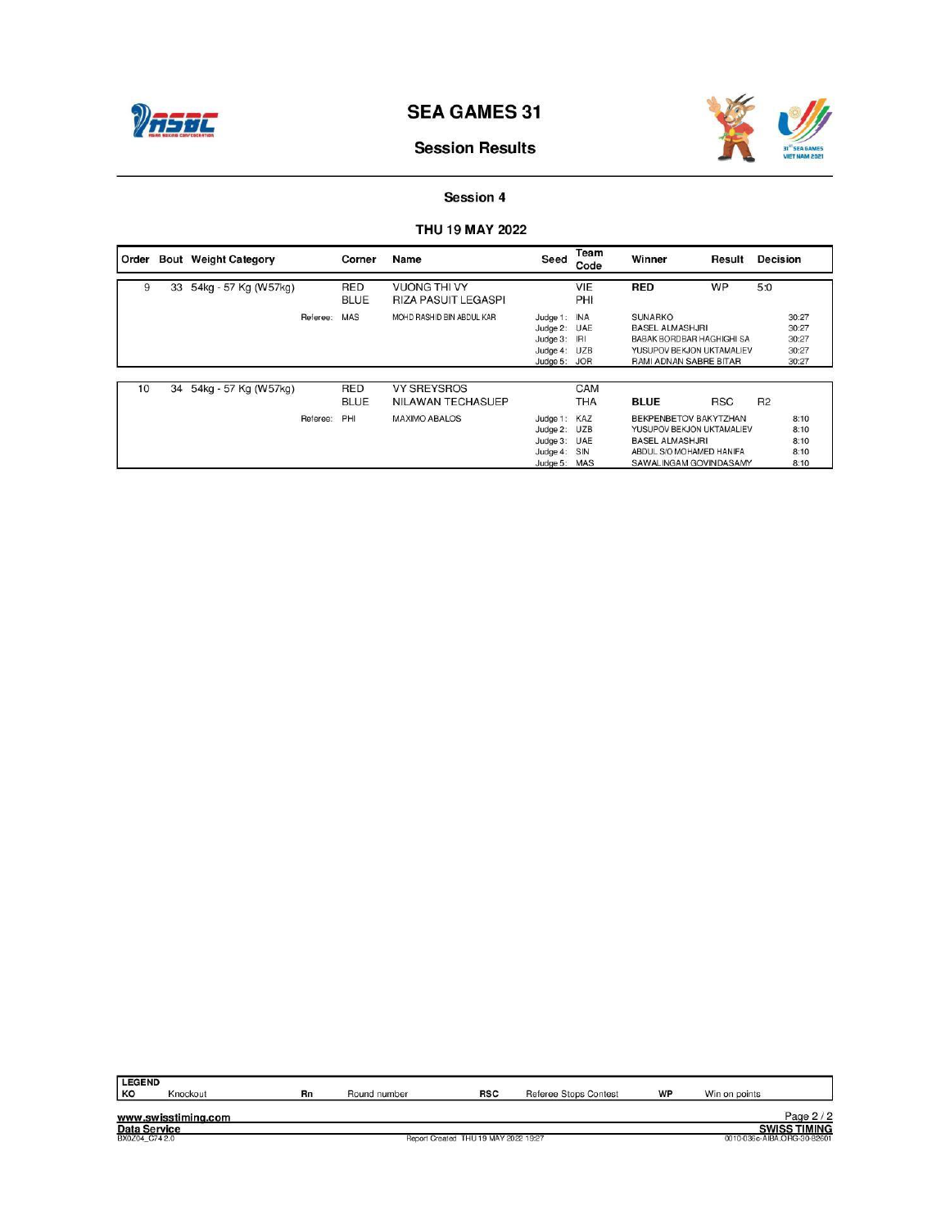



# **Session Results**

# Session 4

## THU 19 MAY 2022

| Order |    | <b>Bout</b> Weight Category |          | Corner                    | Name                                              | Seed                                                                         | Team<br>Code | Winner                                                                                                                             | Result     | <b>Decision</b> |                                           |
|-------|----|-----------------------------|----------|---------------------------|---------------------------------------------------|------------------------------------------------------------------------------|--------------|------------------------------------------------------------------------------------------------------------------------------------|------------|-----------------|-------------------------------------------|
| 9     | 33 | 54kg - 57 Kg (W57kg)        |          | <b>RED</b><br><b>BLUE</b> | <b>VUONG THI VY</b><br><b>RIZA PASUIT LEGASPI</b> |                                                                              | VIE<br>PHI   | <b>RED</b>                                                                                                                         | WP         | 5:0             |                                           |
|       |    |                             | Referee: | <b>MAS</b>                | MOHD RASHID BIN ABDUL KAR                         | Judge 1: INA<br>Judge 2: UAE<br>Judge 3: IRI<br>Judge 4: UZB<br>Judge 5: JOR |              | <b>SUNARKO</b><br><b>BASEL ALMASHJRI</b><br>BABAK BORDBAR HAGHIGHI SA<br>YUSUPOV BEKJON UKTAMALIEV<br>RAMI ADNAN SABRE BITAR       |            |                 | 30:27<br>30:27<br>30:27<br>30:27<br>30:27 |
| 10    | 34 | 54kg - 57 Kg (W57kg)        |          | RED<br><b>BLUE</b>        | <b>VY SREYSROS</b><br>NILAWAN TECHASUEP           |                                                                              | CAM<br>THA   | <b>BLUE</b>                                                                                                                        | <b>RSC</b> | R2              |                                           |
|       |    |                             | Referee: | PHI                       | <b>MAXIMO ABALOS</b>                              | Judge 1: KAZ<br>Judge 2: UZB<br>Judge 3: UAE<br>Judge 4: SIN<br>Judge 5: MAS |              | BEKPENBETOV BAKYTZHAN<br>YUSUPOV BEKJON UKTAMALIEV<br><b>BASEL ALMASHJRI</b><br>ABDUL S/O MOHAMED HANIFA<br>SAWALINGAM GOVINDASAMY |            |                 | 8:10<br>8:10<br>8:10<br>8:10<br>8:10      |

| <b>LEGEND</b>       |                     |    |              |                                      |                              |    |                             |
|---------------------|---------------------|----|--------------|--------------------------------------|------------------------------|----|-----------------------------|
| KO                  | Knockout            | Rn | Round number | <b>RSC</b>                           | <b>Referee Stops Contest</b> | WP | Win on points               |
|                     |                     |    |              |                                      |                              |    |                             |
|                     | www.swisstiming.com |    |              |                                      |                              |    | Page $2/2$                  |
| <b>Data Service</b> |                     |    |              |                                      |                              |    | <b>SWISS TIMING</b>         |
| BX0Z04 C742.0       |                     |    |              | Report Created THU 19 MAY 2022 19:27 |                              |    | 0010-036c-AIBA.ORG-30-82601 |
|                     |                     |    |              |                                      |                              |    |                             |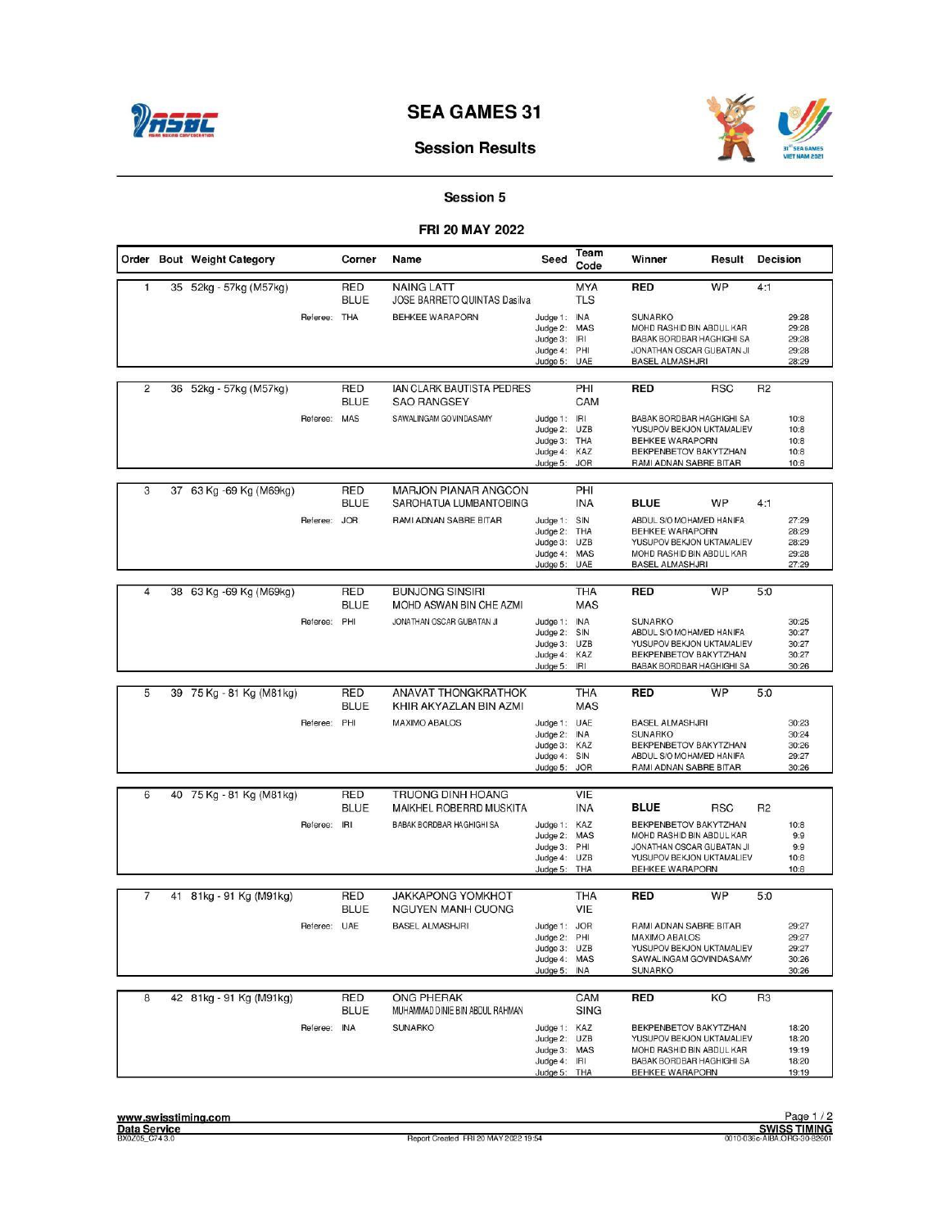



## **Session Results**

# Session 5

#### FRI 20 MAY 2022

|                |    | Order Bout Weight Category |              | Corner             | Name                                                 | Seed                                                                         | Team<br>Code                           | Winner                                                                                                                                                | Result     | Decision       |                                           |
|----------------|----|----------------------------|--------------|--------------------|------------------------------------------------------|------------------------------------------------------------------------------|----------------------------------------|-------------------------------------------------------------------------------------------------------------------------------------------------------|------------|----------------|-------------------------------------------|
| $\mathbf{1}$   |    | 35 52kg - 57kg (M57kg)     |              | RED<br><b>BLUE</b> | <b>NAING LATT</b><br>JOSE BARRETO QUINTAS Dasilva    |                                                                              | <b>MYA</b><br><b>TLS</b>               | <b>RED</b>                                                                                                                                            | <b>WP</b>  | 4:1            |                                           |
|                |    |                            | Referee: THA |                    | <b>BEHKEE WARAPORN</b>                               | Judge 1:<br>Judge 2: MAS<br>Judge 3:<br>Judge 4:<br>Judge 5:                 | <b>INA</b><br>IRI<br>PHI<br>UAE        | <b>SUNARKO</b><br>MOHD RASHID BIN ABDUL KAR<br>BABAK BORDBAR HAGHIGHI SA<br>JONATHAN OSCAR GUBATAN JI<br><b>BASEL ALMASHJRI</b>                       |            |                | 29:28<br>29:28<br>29:28<br>29:28<br>28:29 |
| $\overline{2}$ |    | 36 52kg - 57kg (M57kg)     |              | RED<br><b>BLUE</b> | IAN CLARK BAUTISTA PEDRES<br><b>SAO RANGSEY</b>      |                                                                              | PHI<br>CAM                             | <b>RED</b>                                                                                                                                            | <b>RSC</b> | R <sub>2</sub> |                                           |
|                |    |                            | Referee: MAS |                    | SAWALINGAM GOVINDASAMY                               | Judge 1:<br>Judge 2: UZB<br>Judge 3: THA<br>Judge 4:<br>Judge 5:             | IRI<br>KAZ<br><b>JOR</b>               | BABAK BORDBAR HAGHIGHI SA<br>YUSUPOV BEKJON UKTAMALIEV<br><b>BEHKEE WARAPORN</b><br>BEKPENBETOV BAKYTZHAN<br>RAMI ADNAN SABRE BITAR                   |            |                | 10:8<br>10:8<br>10:8<br>10:8<br>10:8      |
| 3              | 37 | 63 Kg -69 Kg (M69kg)       |              | RED                | <b>MARJON PIANAR ANGCON</b>                          |                                                                              | PHI<br><b>INA</b>                      |                                                                                                                                                       | WP         |                |                                           |
|                |    |                            | Referee: JOR | BLUE               | SAROHATUA LUMBANTOBING<br>RAMI ADNAN SABRE BITAR     | Judge 1:<br>Judge 2:<br>$J$ udge $3$ :<br>Judge 4:<br>Judge 5:               | SIN<br>THA<br><b>UZB</b><br>MAS<br>UAE | <b>BLUE</b><br>ABDUL S/O MOHAMED HANIFA<br><b>BEHKEE WARAPORN</b><br>YUSUPOV BEKJON UKTAMALIEV<br>MOHD RASHID BIN ABDUL KAR<br><b>BASEL ALMASHJRI</b> |            | 4:1            | 27:29<br>28:29<br>28:29<br>29:28<br>27:29 |
| $\overline{4}$ |    | 38 63 Kg - 69 Kg (M69kg)   |              | RED                | <b>BUNJONG SINSIRI</b>                               |                                                                              | <b>THA</b>                             | <b>RED</b>                                                                                                                                            | <b>WP</b>  | 5:0            |                                           |
|                |    |                            | Referee: PHI | <b>BLUE</b>        | MOHD ASWAN BIN CHE AZMI<br>JONATHAN OSCAR GUBATAN JI | Judge 1:                                                                     | <b>MAS</b><br><b>INA</b>               | <b>SUNARKO</b>                                                                                                                                        |            |                | 30:25                                     |
|                |    |                            |              |                    |                                                      | Judge 2:<br>Judge 3: UZB<br>Judge 4:<br>Judge 5:                             | SIN<br>KAZ<br>IRI                      | ABDUL S/O MOHAMED HANIFA<br>YUSUPOV BEKJON UKTAMALIEV<br>BEKPENBETOV BAKYTZHAN<br>BABAK BORDBAR HAGHIGHI SA                                           |            |                | 30:27<br>30:27<br>30:27<br>30:26          |
| 5              |    | 39 75 Kg - 81 Kg (M81 kg)  |              | RED                | <b>ANAVAT THONGKRATHOK</b>                           |                                                                              | <b>THA</b>                             | <b>RED</b>                                                                                                                                            | <b>WP</b>  | 5:0            |                                           |
|                |    |                            |              | <b>BLUE</b>        | KHIR AKYAZLAN BIN AZMI                               |                                                                              | <b>MAS</b>                             |                                                                                                                                                       |            |                |                                           |
|                |    |                            | Referee: PHI |                    | <b>MAXIMO ABALOS</b>                                 | Judge 1: UAE<br>Judge 2:<br>Judge 3:<br>$J$ udge 4:<br>Judge 5:              | <b>INA</b><br>KAZ<br>SIN<br><b>JOR</b> | <b>BASEL ALMASHJRI</b><br><b>SUNARKO</b><br>BEKPENBETOV BAKYTZHAN<br>ABDUL S/O MOHAMED HANIFA<br>RAMI ADNAN SABRE BITAR                               |            |                | 30:23<br>30:24<br>30:26<br>29:27<br>30:26 |
| 6              |    | 40 75 Kg - 81 Kg (M81 kg)  |              | RED                | <b>TRUONG DINH HOANG</b>                             |                                                                              | VIE                                    |                                                                                                                                                       |            |                |                                           |
|                |    |                            |              | <b>BLUE</b>        | MAIKHEL ROBERRD MUSKITA                              |                                                                              | <b>INA</b>                             | <b>BLUE</b>                                                                                                                                           | <b>RSC</b> | R <sub>2</sub> |                                           |
|                |    |                            | Referee: IRI |                    | BABAK BORDBAR HAGHIGHI SA                            | Judge 1:<br>Judge 2:<br>Judge 3: PHI<br>Judge 4: UZB<br>Judge 5: THA         | KAZ<br>MAS                             | BEKPENBETOV BAKYTZHAN<br>MOHD RASHID BIN ABDUL KAR<br>JONATHAN OSCAR GUBATAN JI<br>YUSUPOV BEKJON UKTAMALIEV<br>BEHKEE WARAPORN                       |            |                | 10:8<br>9:9<br>9:9<br>10:8<br>10:8        |
| 7              |    | 41 81kg - 91 Kg (M91kg)    |              | RED                | <b>JAKKAPONG YOMKHOT</b>                             |                                                                              | <b>THA</b>                             | <b>RED</b>                                                                                                                                            | WP         | 5:0            |                                           |
|                |    |                            |              | <b>BLUE</b>        | <b>NGUYEN MANH CUONG</b>                             |                                                                              | VIE                                    |                                                                                                                                                       |            |                |                                           |
|                |    |                            | Referee: UAE |                    | <b>BASEL ALMASHJRI</b>                               | Judge 1: JOR<br>Judge 2: PHI<br>Judge 3: UZB<br>Judge 4: MAS<br>Judge 5: INA |                                        | RAMI ADNAN SABRE BITAR<br><b>MAXIMO ABALOS</b><br>YUSUPOV BEKJON UKTAMALIEV<br>SAWALINGAM GOVINDASAMY<br><b>SUNARKO</b>                               |            |                | 29:27<br>29:27<br>29:27<br>30:26<br>30:26 |
| 8              |    | 42 81kg - 91 Kg (M91kg)    |              | RED<br><b>BLUE</b> | <b>ONG PHERAK</b><br>MUHAMMAD DINIE BIN ABDUL RAHMAN |                                                                              | CAM<br><b>SING</b>                     | <b>RED</b>                                                                                                                                            | KO         | R <sub>3</sub> |                                           |
|                |    |                            | Referee: INA |                    | <b>SUNARKO</b>                                       | Judge 1: KAZ<br>Judge 2: UZB<br>Judge 3: MAS<br>Judge 4: IRI<br>Judge 5: THA |                                        | BEKPENBETOV BAKYTZHAN<br>YUSUPOV BEKJON UKTAMALIEV<br>MOHD RASHID BIN ABDUL KAR<br>BABAK BORDBAR HAGHIGHI SA<br>BEHKEE WARAPORN                       |            |                | 18:20<br>18:20<br>19:19<br>18:20<br>19:19 |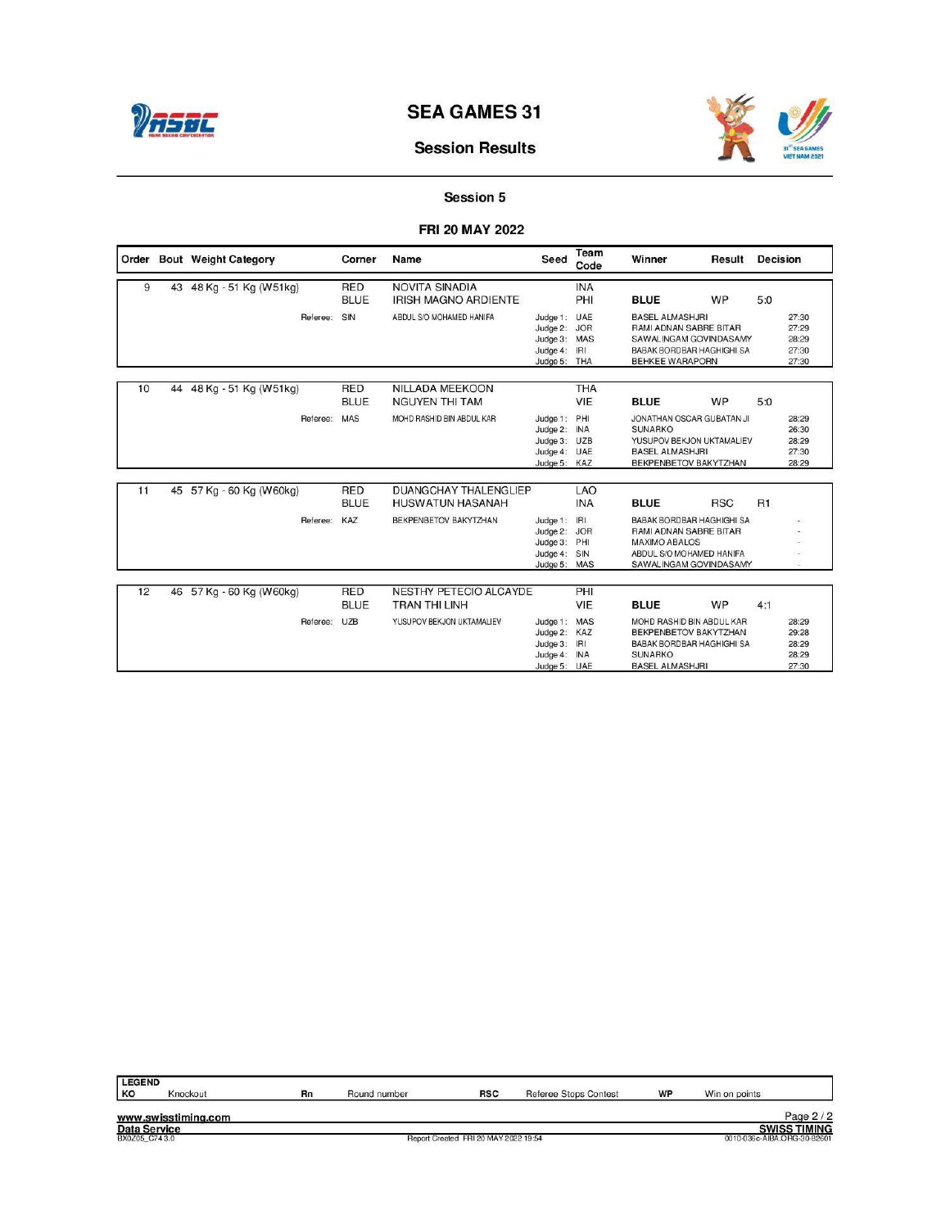

# **Session Results**

# Session 5

#### FRI 20 MAY 2022

|    |    | Order Bout Weight Category | Corner                    | Name                                                    | Seed                                                                         | Team<br>Code             | Winner                                                                                                                             | Result     | <b>Decision</b> |                                           |
|----|----|----------------------------|---------------------------|---------------------------------------------------------|------------------------------------------------------------------------------|--------------------------|------------------------------------------------------------------------------------------------------------------------------------|------------|-----------------|-------------------------------------------|
| 9  | 43 | 48 Kg - 51 Kg (W51kg)      | <b>RED</b><br><b>BLUE</b> | <b>NOVITA SINADIA</b><br><b>IRISH MAGNO ARDIENTE</b>    |                                                                              | <b>INA</b><br>PHI        | <b>BLUE</b>                                                                                                                        | WP         | 5:0             |                                           |
|    |    | Referee:                   | SIN                       | ABDUL S/O MOHAMED HANIFA                                | Judge 1: UAE<br>Judge 2: JOR<br>Judge 3: MAS<br>Judge 4: IRI<br>Judge 5: THA |                          | <b>BASEL ALMASHJRI</b><br>RAMI ADNAN SABRE BITAR<br>SAWALINGAM GOVINDASAMY<br>BABAK BORDBAR HAGHIGHI SA<br><b>BEHKEE WARAPORN</b>  |            |                 | 27:30<br>27:29<br>28:29<br>27:30<br>27:30 |
| 10 |    | 44 48 Kg - 51 Kg (W51kg)   | <b>RED</b><br><b>BLUE</b> | <b>NILLADA MEEKOON</b><br><b>NGUYEN THI TAM</b>         |                                                                              | <b>THA</b><br>VIE        | <b>BLUE</b>                                                                                                                        | WP         | 5:0             |                                           |
|    |    | Referee:                   | <b>MAS</b>                | MOHD RASHID BIN ABDUL KAR                               | Judge 1: PHI<br>Judge 2: INA<br>Judge 3: UZB<br>Judge 4: UAE<br>Judge 5: KAZ |                          | JONATHAN OSCAR GUBATAN JI<br><b>SUNARKO</b><br>YUSUPOV BEKJON UKTAMALIEV<br><b>BASEL ALMASHJRI</b><br>BEKPENBETOV BAKYTZHAN        |            |                 | 28:29<br>26:30<br>28:29<br>27:30<br>28:29 |
| 11 |    | 45 57 Kg - 60 Kg (W60kg)   | RED<br><b>BLUE</b>        | <b>DUANGCHAY THALENGLIEP</b><br><b>HUSWATUN HASANAH</b> |                                                                              | <b>LAO</b><br><b>INA</b> | <b>BLUE</b>                                                                                                                        | <b>RSC</b> | R1              |                                           |
|    |    | Referee:                   | KAZ                       | BEKPENBETOV BAKYTZHAN                                   | Judge 1: IRI<br>Judge 2: JOR<br>Judge 3: PHI<br>Judge 4: SIN<br>Judge 5: MAS |                          | BABAK BORDBAR HAGHIGHI SA<br>RAMI ADNAN SABRE BITAR<br><b>MAXIMO ABALOS</b><br>ABDUL S/O MOHAMED HANIFA<br>SAWALINGAM GOVINDASAMY  |            |                 |                                           |
| 12 | 46 | 57 Kg - 60 Kg (W60kg)      | <b>RED</b><br><b>BLUE</b> | <b>NESTHY PETECIO ALCAYDE</b><br><b>TRAN THI LINH</b>   |                                                                              | PHI<br>VIE               | <b>BLUE</b>                                                                                                                        | WP         | 4:1             |                                           |
|    |    | Referee:                   | UZB                       | YUSUPOV BEKJON UKTAMALIEV                               | Judge 1: MAS<br>Judge 2: KAZ<br>Judge 3: IRI<br>Judge 4: INA<br>Judge 5: UAE |                          | MOHD RASHID BIN ABDUL KAR<br>BEKPENBETOV BAKYTZHAN<br><b>BABAK BORDBAR HAGHIGHI SA</b><br><b>SUNARKO</b><br><b>BASEL ALMASHJRI</b> |            |                 | 28:29<br>29:28<br>28:29<br>28:29<br>27:30 |

| LEGEND<br>KO  | Knockout            | Rn | Round number | <b>RSC</b>                           | Referee Stops Contest | WP | Win on points               |
|---------------|---------------------|----|--------------|--------------------------------------|-----------------------|----|-----------------------------|
|               | www.swisstiming.com |    |              |                                      |                       |    | Page $2/2$                  |
| Data Service  |                     |    |              |                                      |                       |    | <b>SWISS TIMING</b>         |
| BX0Z05 C743.0 |                     |    |              | Report Created FRI 20 MAY 2022 19:54 |                       |    | 0010-036c-AIBA.ORG-30-82601 |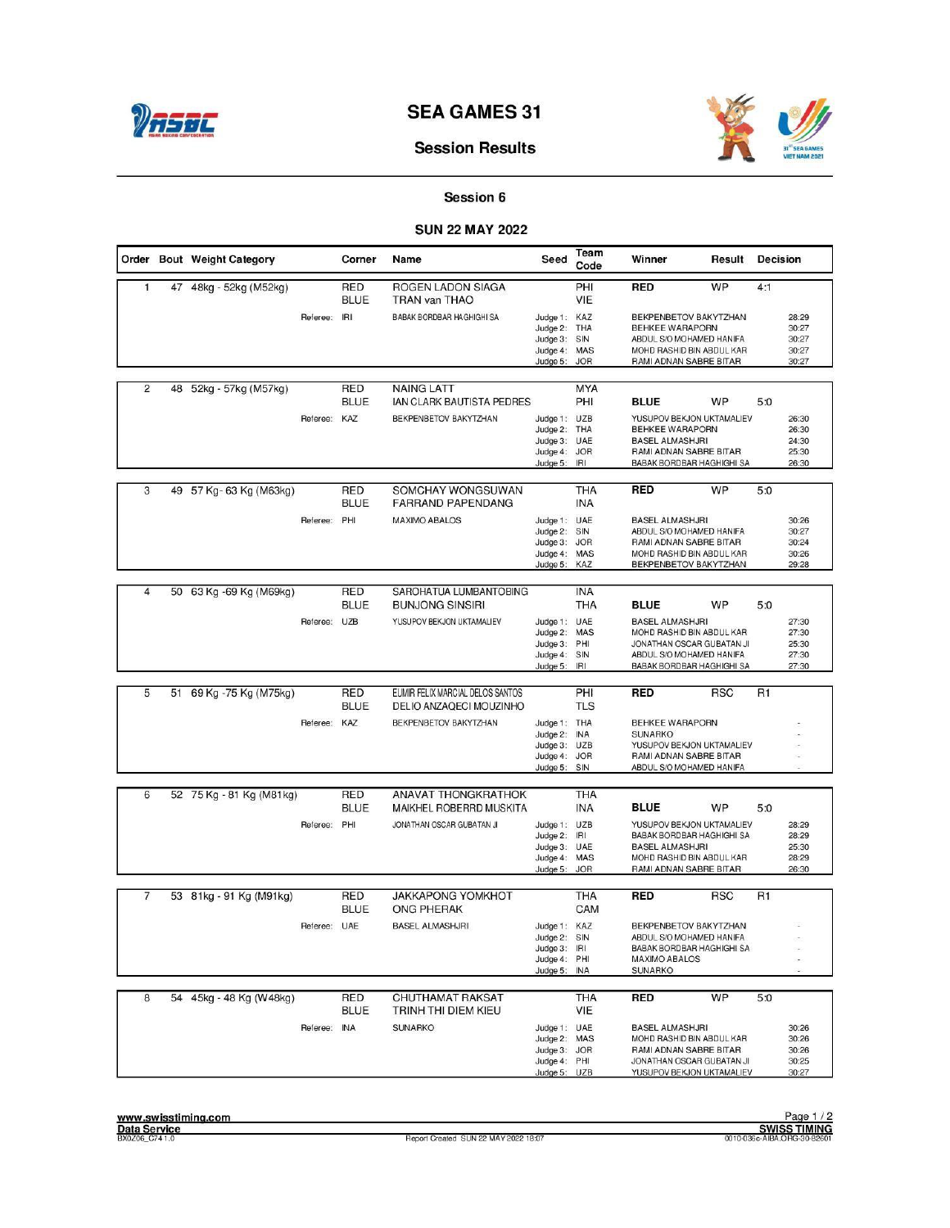



## **Session Results**

## Session 6

#### **SUN 22 MAY 2022**

|                | Order Bout Weight Category |              | Corner                    | Name                                                        | Seed                                                                         | Team<br>Code                    | Winner                                                                                                                                    | Result     | Decision                                  |                                           |
|----------------|----------------------------|--------------|---------------------------|-------------------------------------------------------------|------------------------------------------------------------------------------|---------------------------------|-------------------------------------------------------------------------------------------------------------------------------------------|------------|-------------------------------------------|-------------------------------------------|
| $\mathbf{1}$   | 47 48kg - 52kg (M52kg)     |              | RED<br><b>BLUE</b>        | ROGEN LADON SIAGA<br>TRAN van THAO                          |                                                                              | PHI<br>VIE                      | <b>RED</b>                                                                                                                                | WP         | 4:1                                       |                                           |
|                |                            | Referee: IRI |                           | BABAK BORDBAR HAGHIGHI SA                                   | Judge 1: KAZ<br>Judge 2: THA<br>Judge 3:<br>Judge 4:<br>Judge 5:             | SIN<br>MAS<br><b>JOR</b>        | BEKPENBETOV BAKYTZHAN<br><b>BEHKEE WARAPORN</b><br>ABDUL S/O MOHAMED HANIFA<br>MOHD RASHID BIN ABDUL KAR<br>RAMI ADNAN SABRE BITAR        |            |                                           | 28:29<br>30:27<br>30:27<br>30:27<br>30:27 |
| $\overline{2}$ | 48 52kg - 57kg (M57kg)     |              | RED<br><b>BLUE</b>        | <b>NAING LATT</b><br>IAN CLARK BAUTISTA PEDRES              |                                                                              | <b>MYA</b><br>PHI               | <b>BLUE</b>                                                                                                                               | WP         | 5:0                                       |                                           |
|                |                            | Referee:     | KAZ                       | BEKPENBETOV BAKYTZHAN                                       | Judge 1: UZB<br>Judge 2: THA<br>Judge 3:<br>Judge 4:<br>Judge 5:             | <b>UAE</b><br><b>JOR</b><br>IRI | YUSUPOV BEKJON UKTAMALIEV<br><b>BEHKEE WARAPORN</b><br><b>BASEL ALMASHJRI</b><br>RAMI ADNAN SABRE BITAR<br>BABAK BORDBAR HAGHIGHI SA      |            |                                           | 26:30<br>26:30<br>24:30<br>25:30<br>26:30 |
| 3              | 49 57 Kg-63 Kg (M63kg)     |              | RED<br><b>BLUE</b>        | SOMCHAY WONGSUWAN<br><b>FARRAND PAPENDANG</b>               |                                                                              | <b>THA</b><br><b>INA</b>        | <b>RED</b>                                                                                                                                | <b>WP</b>  | 5:0                                       |                                           |
|                |                            | Referee: PHI |                           | <b>MAXIMO ABALOS</b>                                        | Judge 1: UAE<br>Judge 2: SIN<br>Judge 3: JOR<br>$J$ udge $4$ :<br>Judge 5:   | MAS<br>KAZ                      | <b>BASEL ALMASHJRI</b><br>ABDUL S/O MOHAMED HANIFA<br>RAMI ADNAN SABRE BITAR<br>MOHD RASHID BIN ABDUL KAR<br>BEKPENBETOV BAKYTZHAN        |            |                                           | 30:26<br>30:27<br>30:24<br>30:26<br>29:28 |
|                |                            |              |                           |                                                             |                                                                              |                                 |                                                                                                                                           |            |                                           |                                           |
| $\overline{4}$ | 50 63 Kg -69 Kg (M69kg)    |              | <b>RED</b><br><b>BLUE</b> | SAROHATUA LUMBANTOBING<br><b>BUNJONG SINSIRI</b>            |                                                                              | <b>INA</b><br>THA               | <b>BLUE</b>                                                                                                                               | WP         | 5:0                                       |                                           |
|                |                            | Referee: UZB |                           | YUSUPOV BEKJON UKTAMALIEV                                   | Judge 1:<br>Judge 2: MAS<br>Judge 3: PHI<br>Judge 4:<br>Judge 5:             | UAE<br>SIN<br>IRI               | <b>BASEL ALMASHJRI</b><br>MOHD RASHID BIN ABDUL KAR<br>JONATHAN OSCAR GUBATAN JI<br>ABDUL S/O MOHAMED HANIFA<br>BABAK BORDBAR HAGHIGHI SA |            | 27:30<br>27:30<br>25:30<br>27:30<br>27:30 |                                           |
|                |                            |              |                           |                                                             |                                                                              |                                 |                                                                                                                                           |            |                                           |                                           |
| 5              | 51 69 Kg - 75 Kg (M75kg)   |              | RED<br><b>BLUE</b>        | EUMIR FELIX MARCIAL DELOS SANTOS<br>DELIO ANZAQECI MOUZINHO |                                                                              | PHI<br><b>TLS</b>               | <b>RED</b>                                                                                                                                | <b>RSC</b> | R <sub>1</sub>                            |                                           |
|                |                            | Referee: KAZ |                           | BEKPENBETOV BAKYTZHAN                                       | Judge 1: THA<br>Judge 2:<br>Judge 3: UZB<br>Judge 4: JOR<br>Judge 5:         | <b>INA</b><br>SIN               | <b>BEHKEE WARAPORN</b><br><b>SUNARKO</b><br>YUSUPOV BEKJON UKTAMALIEV<br>RAMI ADNAN SABRE BITAR<br>ABDUL S/O MOHAMED HANIFA               |            |                                           |                                           |
| 6              |                            |              | RED                       | <b>ANAVAT THONGKRATHOK</b>                                  |                                                                              | <b>THA</b>                      |                                                                                                                                           |            |                                           |                                           |
|                | 52 75 Kg - 81 Kg (M81 kg)  |              | <b>BLUE</b>               | MAIKHEL ROBERRD MUSKITA                                     |                                                                              | <b>INA</b>                      | <b>BLUE</b>                                                                                                                               | <b>WP</b>  | 5:0                                       |                                           |
|                |                            | Referee: PHI |                           | JONATHAN OSCAR GUBATAN JI                                   | Judge 1: UZB<br>Judge 2:<br>Judge 3: UAE<br>Judge 4: MAS<br>Judge 5:         | IRI<br><b>JOR</b>               | YUSUPOV BEKJON UKTAMALIEV<br>BABAK BORDBAR HAGHIGHI SA<br><b>BASEL ALMASHJRI</b><br>MOHD RASHID BIN ABDUL KAR<br>RAMI ADNAN SABRE BITAR   |            |                                           | 28:29<br>28:29<br>25:30<br>28:29<br>26:30 |
| 7              | 53 81kg - 91 Kg (M91kg)    |              | RED                       | <b>JAKKAPONG YOMKHOT</b>                                    |                                                                              | THA                             | <b>RED</b>                                                                                                                                | <b>RSC</b> | R <sub>1</sub>                            |                                           |
|                |                            |              | <b>BLUE</b>               | <b>ONG PHERAK</b>                                           |                                                                              | CAM                             |                                                                                                                                           |            |                                           |                                           |
|                |                            | Referee: UAE |                           | <b>BASEL ALMASHJRI</b>                                      | Judge 1: KAZ<br>Judge 2: SIN<br>Judge 3: IRI<br>Judge 4: PHI<br>Judge 5:     | <b>INA</b>                      | BEKPENBETOV BAKYTZHAN<br>ABDUL S/O MOHAMED HANIFA<br>BABAK BORDBAR HAGHIGHI SA<br><b>MAXIMO ABALOS</b><br><b>SUNARKO</b>                  |            |                                           |                                           |
| 8              | 54 45kg - 48 Kg (W48kg)    |              | RED                       | <b>CHUTHAMAT RAKSAT</b>                                     |                                                                              | THA                             | <b>RED</b>                                                                                                                                | <b>WP</b>  | 5:0                                       |                                           |
|                |                            |              | <b>BLUE</b>               | TRINH THI DIEM KIEU                                         |                                                                              | VIE                             |                                                                                                                                           |            |                                           |                                           |
|                |                            | Referee: INA |                           | <b>SUNARKO</b>                                              | Judge 1: UAE<br>Judge 2: MAS<br>Judge 3: JOR<br>Judge 4: PHI<br>Judge 5: UZB |                                 | <b>BASEL ALMASHJRI</b><br>MOHD RASHID BIN ABDUL KAR<br>RAMI ADNAN SABRE BITAR<br>JONATHAN OSCAR GUBATAN JI<br>YUSUPOV BEKJON UKTAMALIEV   |            |                                           | 30:26<br>30:26<br>30:26<br>30:25<br>30:27 |